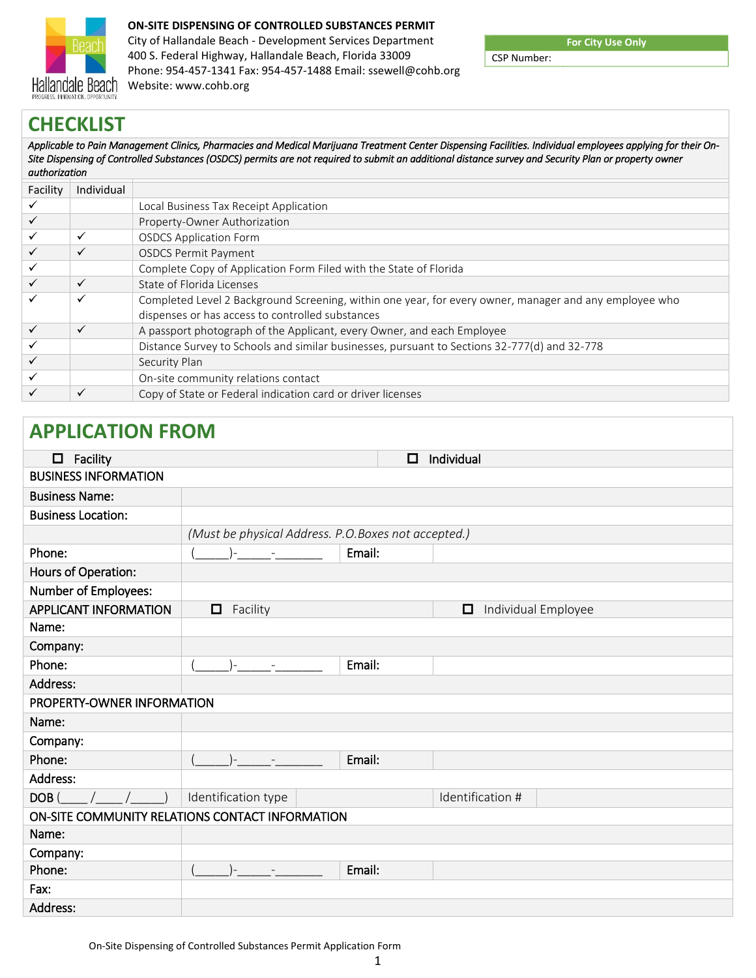

## **ON-SITE DISPENSING OF CONTROLLED SUBSTANCES PERMIT**

City of Hallandale Beach - Development Services Department 400 S. Federal Highway, Hallandale Beach, Florida 33009 Phone: 954-457-1341 Fax: 954-457-1488 Email: ssewell@cohb.org Website: www.cohb.org

**For City Use Only**

CSP Number:

# **CHECKLIST**

*Applicable to Pain Management Clinics, Pharmacies and Medical Marijuana Treatment Center Dispensing Facilities. Individual employees applying for their On-Site Dispensing of Controlled Substances (OSDCS) permits are not required to submit an additional distance survey and Security Plan or property owner authorization* 

| Facility     | Individual |                                                                                                        |
|--------------|------------|--------------------------------------------------------------------------------------------------------|
|              |            | Local Business Tax Receipt Application                                                                 |
| ✓            |            | Property-Owner Authorization                                                                           |
| ✓            | ✓          | <b>OSDCS Application Form</b>                                                                          |
| ✓            | ✓          | <b>OSDCS Permit Payment</b>                                                                            |
|              |            | Complete Copy of Application Form Filed with the State of Florida                                      |
| $\checkmark$ | ✓          | State of Florida Licenses                                                                              |
|              | ✓          | Completed Level 2 Background Screening, within one year, for every owner, manager and any employee who |
|              |            | dispenses or has access to controlled substances                                                       |
| $\checkmark$ | ✓          | A passport photograph of the Applicant, every Owner, and each Employee                                 |
|              |            | Distance Survey to Schools and similar businesses, pursuant to Sections 32-777(d) and 32-778           |
| ✓            |            | Security Plan                                                                                          |
|              |            | On-site community relations contact                                                                    |
| ✓            | ✓          | Copy of State or Federal indication card or driver licenses                                            |

# **APPLICATION FROM**

| $\Box$<br>Facility          |                                                     | □      | Individual                    |  |  |  |  |
|-----------------------------|-----------------------------------------------------|--------|-------------------------------|--|--|--|--|
| <b>BUSINESS INFORMATION</b> |                                                     |        |                               |  |  |  |  |
| <b>Business Name:</b>       |                                                     |        |                               |  |  |  |  |
| <b>Business Location:</b>   |                                                     |        |                               |  |  |  |  |
|                             | (Must be physical Address. P.O.Boxes not accepted.) |        |                               |  |  |  |  |
| Phone:                      |                                                     | Email: |                               |  |  |  |  |
| Hours of Operation:         |                                                     |        |                               |  |  |  |  |
| Number of Employees:        |                                                     |        |                               |  |  |  |  |
| APPLICANT INFORMATION       | □<br>Facility                                       |        | $\Box$<br>Individual Employee |  |  |  |  |
| Name:                       |                                                     |        |                               |  |  |  |  |
| Company:                    |                                                     |        |                               |  |  |  |  |
| Phone:                      | $\vert$                                             | Email: |                               |  |  |  |  |
| Address:                    |                                                     |        |                               |  |  |  |  |
| PROPERTY-OWNER INFORMATION  |                                                     |        |                               |  |  |  |  |
| Name:                       |                                                     |        |                               |  |  |  |  |
| Company:                    |                                                     |        |                               |  |  |  |  |
| Phone:                      |                                                     | Email: |                               |  |  |  |  |
| Address:                    |                                                     |        |                               |  |  |  |  |
| DOB(                        | Identification type                                 |        | Identification #              |  |  |  |  |
|                             | ON-SITE COMMUNITY RELATIONS CONTACT INFORMATION     |        |                               |  |  |  |  |
| Name:                       |                                                     |        |                               |  |  |  |  |
| Company:                    |                                                     |        |                               |  |  |  |  |
| Phone:                      |                                                     | Email: |                               |  |  |  |  |
| Fax:                        |                                                     |        |                               |  |  |  |  |
| Address:                    |                                                     |        |                               |  |  |  |  |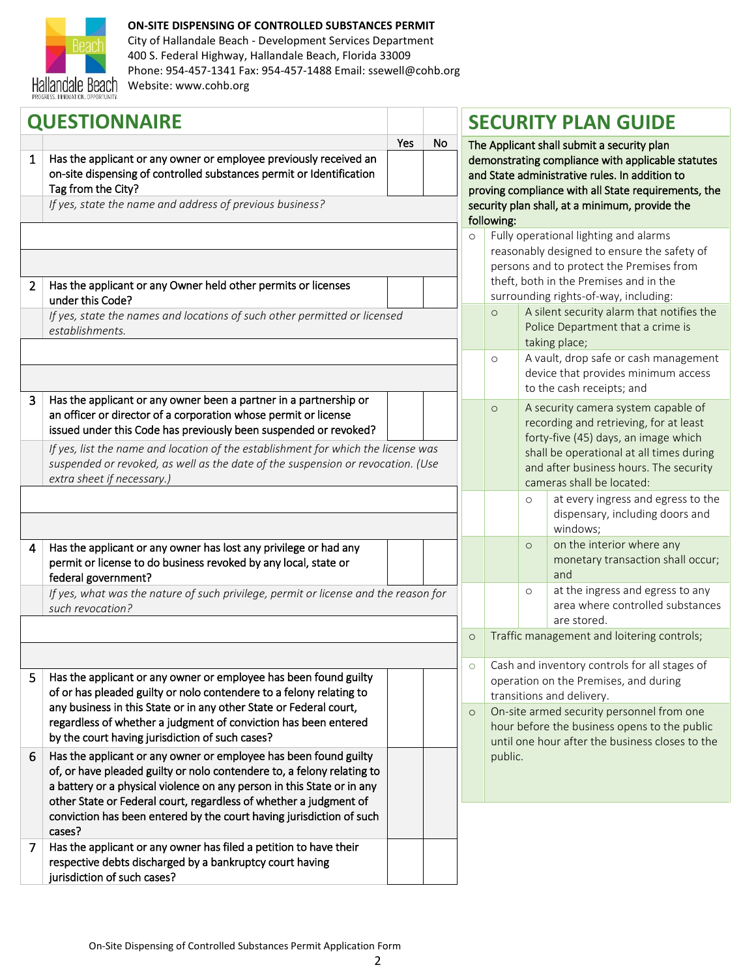

# **ON-SITE DISPENSING OF CONTROLLED SUBSTANCES PERMIT**

City of Hallandale Beach - Development Services Department 400 S. Federal Highway, Hallandale Beach, Florida 33009 Phone: 954-457-1341 Fax: 954-457-1488 Email: ssewell@cohb.org Website: www.cohb.org

| <b>QUESTIONNAIRE</b>                                                                                                                                                                                                                        |                                                                                                                                                                                                                                                                                                                                                                             |                                                 |           |                                                                                                                                                                                                                                                                          |                                                                                                                                                                                                                                                                                |                                                                                                                                                                                       | <b>SECURITY PLAN GUIDE</b>                                                          |  |  |
|---------------------------------------------------------------------------------------------------------------------------------------------------------------------------------------------------------------------------------------------|-----------------------------------------------------------------------------------------------------------------------------------------------------------------------------------------------------------------------------------------------------------------------------------------------------------------------------------------------------------------------------|-------------------------------------------------|-----------|--------------------------------------------------------------------------------------------------------------------------------------------------------------------------------------------------------------------------------------------------------------------------|--------------------------------------------------------------------------------------------------------------------------------------------------------------------------------------------------------------------------------------------------------------------------------|---------------------------------------------------------------------------------------------------------------------------------------------------------------------------------------|-------------------------------------------------------------------------------------|--|--|
| Has the applicant or any owner or employee previously received an<br>$\mathbf{1}$<br>on-site dispensing of controlled substances permit or Identification<br>Tag from the City?<br>If yes, state the name and address of previous business? |                                                                                                                                                                                                                                                                                                                                                                             |                                                 | <b>No</b> | The Applicant shall submit a security plan<br>demonstrating compliance with applicable statutes<br>and State administrative rules. In addition to<br>proving compliance with all State requirements, the<br>security plan shall, at a minimum, provide the<br>following: |                                                                                                                                                                                                                                                                                |                                                                                                                                                                                       |                                                                                     |  |  |
| $\overline{2}$                                                                                                                                                                                                                              | Has the applicant or any Owner held other permits or licenses                                                                                                                                                                                                                                                                                                               |                                                 |           |                                                                                                                                                                                                                                                                          |                                                                                                                                                                                                                                                                                | Fully operational lighting and alarms<br>$\circ$<br>reasonably designed to ensure the safety of<br>persons and to protect the Premises from<br>theft, both in the Premises and in the |                                                                                     |  |  |
|                                                                                                                                                                                                                                             | under this Code?<br>If yes, state the names and locations of such other permitted or licensed<br>establishments.                                                                                                                                                                                                                                                            |                                                 |           |                                                                                                                                                                                                                                                                          | $\circ$<br>$\circ$                                                                                                                                                                                                                                                             | surrounding rights-of-way, including:<br>A silent security alarm that notifies the<br>Police Department that a crime is<br>taking place;<br>A vault, drop safe or cash management     |                                                                                     |  |  |
|                                                                                                                                                                                                                                             |                                                                                                                                                                                                                                                                                                                                                                             |                                                 |           |                                                                                                                                                                                                                                                                          |                                                                                                                                                                                                                                                                                |                                                                                                                                                                                       | device that provides minimum access<br>to the cash receipts; and                    |  |  |
| 3                                                                                                                                                                                                                                           | Has the applicant or any owner been a partner in a partnership or<br>an officer or director of a corporation whose permit or license<br>issued under this Code has previously been suspended or revoked?                                                                                                                                                                    |                                                 |           |                                                                                                                                                                                                                                                                          | $\circ$                                                                                                                                                                                                                                                                        | A security camera system capable of<br>recording and retrieving, for at least<br>forty-five (45) days, an image which                                                                 |                                                                                     |  |  |
|                                                                                                                                                                                                                                             | If yes, list the name and location of the establishment for which the license was<br>suspended or revoked, as well as the date of the suspension or revocation. (Use<br>extra sheet if necessary.)                                                                                                                                                                          |                                                 |           |                                                                                                                                                                                                                                                                          | shall be operational at all times during<br>and after business hours. The security<br>cameras shall be located:                                                                                                                                                                |                                                                                                                                                                                       |                                                                                     |  |  |
|                                                                                                                                                                                                                                             |                                                                                                                                                                                                                                                                                                                                                                             |                                                 |           |                                                                                                                                                                                                                                                                          |                                                                                                                                                                                                                                                                                | $\circ$                                                                                                                                                                               | at every ingress and egress to the<br>dispensary, including doors and<br>windows;   |  |  |
| 4                                                                                                                                                                                                                                           | Has the applicant or any owner has lost any privilege or had any<br>permit or license to do business revoked by any local, state or<br>federal government?                                                                                                                                                                                                                  |                                                 |           |                                                                                                                                                                                                                                                                          |                                                                                                                                                                                                                                                                                | $\circ$                                                                                                                                                                               | on the interior where any<br>monetary transaction shall occur;<br>and               |  |  |
|                                                                                                                                                                                                                                             | If yes, what was the nature of such privilege, permit or license and the reason for<br>such revocation?                                                                                                                                                                                                                                                                     |                                                 |           |                                                                                                                                                                                                                                                                          |                                                                                                                                                                                                                                                                                | $\circ$                                                                                                                                                                               | at the ingress and egress to any<br>area where controlled substances<br>are stored. |  |  |
|                                                                                                                                                                                                                                             |                                                                                                                                                                                                                                                                                                                                                                             |                                                 |           | $\circ$                                                                                                                                                                                                                                                                  |                                                                                                                                                                                                                                                                                | Traffic management and loitering controls;                                                                                                                                            |                                                                                     |  |  |
| 5                                                                                                                                                                                                                                           | Has the applicant or any owner or employee has been found guilty<br>of or has pleaded guilty or nolo contendere to a felony relating to<br>any business in this State or in any other State or Federal court,<br>regardless of whether a judgment of conviction has been entered                                                                                            | by the court having jurisdiction of such cases? |           | $\circ$<br>$\circ$                                                                                                                                                                                                                                                       | Cash and inventory controls for all stages of<br>operation on the Premises, and during<br>transitions and delivery.<br>On-site armed security personnel from one<br>hour before the business opens to the public<br>until one hour after the business closes to the<br>public. |                                                                                                                                                                                       |                                                                                     |  |  |
| 6                                                                                                                                                                                                                                           | Has the applicant or any owner or employee has been found guilty<br>of, or have pleaded guilty or nolo contendere to, a felony relating to<br>a battery or a physical violence on any person in this State or in any<br>other State or Federal court, regardless of whether a judgment of<br>conviction has been entered by the court having jurisdiction of such<br>cases? |                                                 |           |                                                                                                                                                                                                                                                                          |                                                                                                                                                                                                                                                                                |                                                                                                                                                                                       |                                                                                     |  |  |
| 7                                                                                                                                                                                                                                           | Has the applicant or any owner has filed a petition to have their<br>respective debts discharged by a bankruptcy court having<br>jurisdiction of such cases?                                                                                                                                                                                                                |                                                 |           |                                                                                                                                                                                                                                                                          |                                                                                                                                                                                                                                                                                |                                                                                                                                                                                       |                                                                                     |  |  |